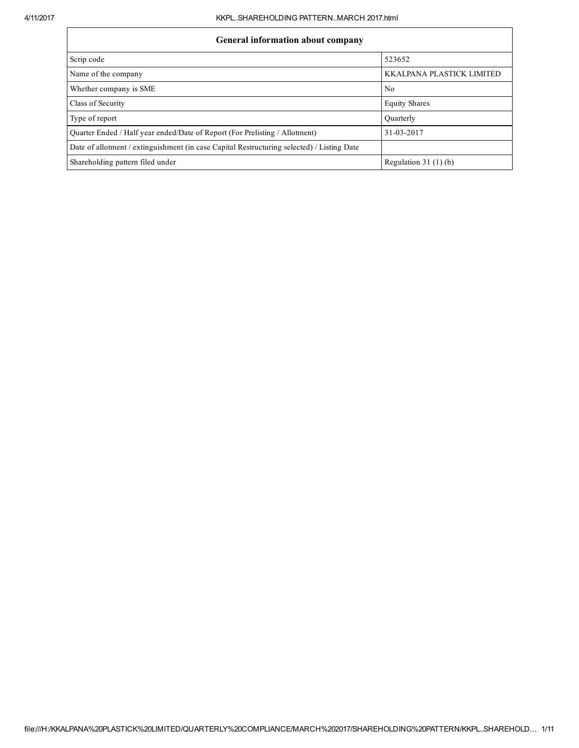| <b>General information about company</b>                                                   |                           |  |  |  |  |  |
|--------------------------------------------------------------------------------------------|---------------------------|--|--|--|--|--|
| Scrip code                                                                                 | 523652                    |  |  |  |  |  |
| Name of the company                                                                        | KKALPANA PLASTICK LIMITED |  |  |  |  |  |
| Whether company is SME                                                                     | No                        |  |  |  |  |  |
| Class of Security                                                                          | <b>Equity Shares</b>      |  |  |  |  |  |
| Type of report                                                                             | Ouarterly                 |  |  |  |  |  |
| Quarter Ended / Half year ended/Date of Report (For Prelisting / Allotment)                | 31-03-2017                |  |  |  |  |  |
| Date of allotment / extinguishment (in case Capital Restructuring selected) / Listing Date |                           |  |  |  |  |  |
| Shareholding pattern filed under                                                           | Regulation $31(1)(b)$     |  |  |  |  |  |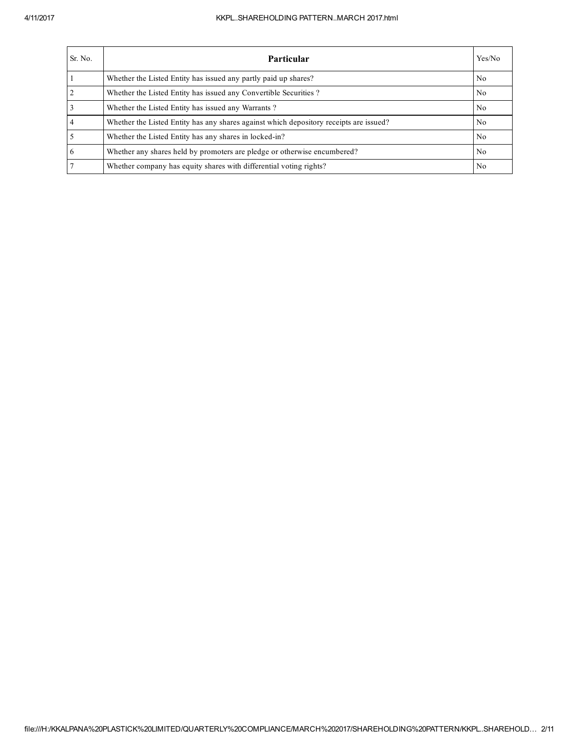## 4/11/2017 KKPL..SHAREHOLDING PATTERN..MARCH 2017.html

| Sr. No.        | Yes/No<br><b>Particular</b>                                                            |                |  |  |  |  |  |
|----------------|----------------------------------------------------------------------------------------|----------------|--|--|--|--|--|
|                | Whether the Listed Entity has issued any partly paid up shares?                        | No             |  |  |  |  |  |
| 2              | Whether the Listed Entity has issued any Convertible Securities?                       | No             |  |  |  |  |  |
| 3              | Whether the Listed Entity has issued any Warrants?                                     | N <sub>o</sub> |  |  |  |  |  |
| $\overline{4}$ | Whether the Listed Entity has any shares against which depository receipts are issued? | No             |  |  |  |  |  |
|                | Whether the Listed Entity has any shares in locked-in?                                 | No             |  |  |  |  |  |
| 6              | Whether any shares held by promoters are pledge or otherwise encumbered?               | No             |  |  |  |  |  |
|                | Whether company has equity shares with differential voting rights?                     | No             |  |  |  |  |  |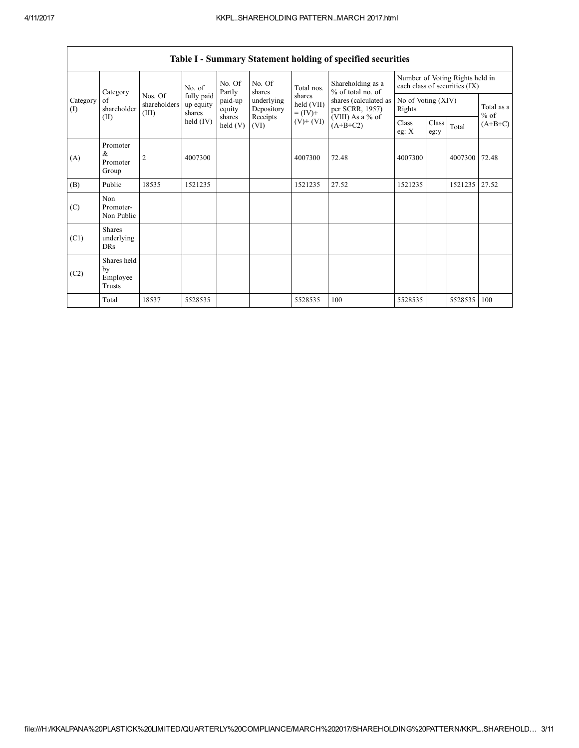|                 | Category                                       |                                  | No. of                            | No. Of<br>Partly     | No. Of<br>shares         | Total nos.                                                                     | Shareholding as a<br>% of total no. of | Number of Voting Rights held in<br>each class of securities (IX) |               |               |                      |  |
|-----------------|------------------------------------------------|----------------------------------|-----------------------------------|----------------------|--------------------------|--------------------------------------------------------------------------------|----------------------------------------|------------------------------------------------------------------|---------------|---------------|----------------------|--|
| Category<br>(I) | of<br>shareholder                              | Nos. Of<br>shareholders<br>(III) | fully paid<br>up equity<br>shares | paid-up<br>equity    | underlying<br>Depository | shares<br>shares (calculated as<br>held (VII)<br>per SCRR, 1957)<br>$= (IV) +$ |                                        | No of Voting (XIV)<br>Rights                                     |               |               | Total as a<br>$%$ of |  |
|                 | (II)                                           |                                  | held $(IV)$                       | shares<br>held $(V)$ | Receipts<br>(VI)         | $(V)$ + $(VI)$                                                                 | (VIII) As a % of<br>$(A+B+C2)$         | Class<br>eg: $X$                                                 | Class<br>eg:y | Total         | $(A+B+C)$            |  |
| (A)             | Promoter<br>$\&$<br>Promoter<br>Group          | 2                                | 4007300                           |                      |                          | 4007300                                                                        | 72.48                                  | 4007300                                                          |               | 4007300       | 72.48                |  |
| (B)             | Public                                         | 18535                            | 1521235                           |                      |                          | 1521235                                                                        | 27.52                                  | 1521235                                                          |               | 1521235 27.52 |                      |  |
| (C)             | Non<br>Promoter-<br>Non Public                 |                                  |                                   |                      |                          |                                                                                |                                        |                                                                  |               |               |                      |  |
| (C1)            | <b>Shares</b><br>underlying<br><b>DRs</b>      |                                  |                                   |                      |                          |                                                                                |                                        |                                                                  |               |               |                      |  |
| (C2)            | Shares held<br>by<br>Employee<br><b>Trusts</b> |                                  |                                   |                      |                          |                                                                                |                                        |                                                                  |               |               |                      |  |
|                 | Total                                          | 18537                            | 5528535                           |                      |                          | 5528535                                                                        | 100                                    | 5528535                                                          |               | 5528535       | 100                  |  |

Table I - Summary Statement holding of specified securities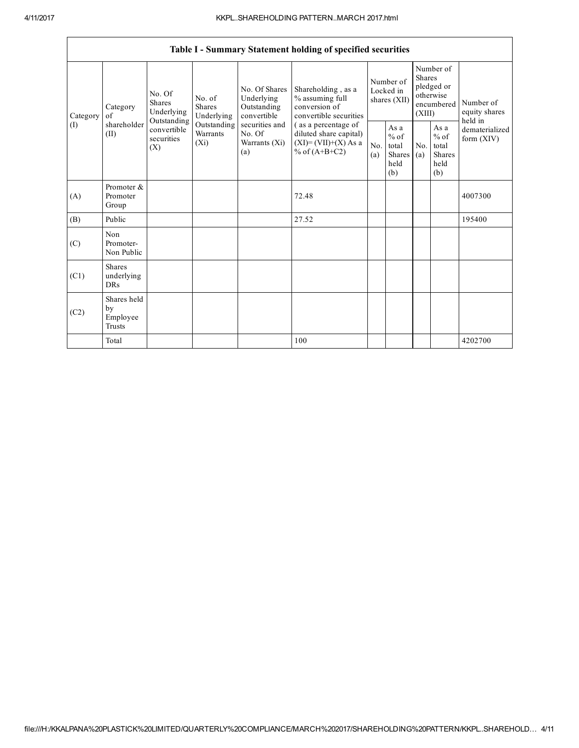$\mathsf{r}$ 

 $\overline{\phantom{0}}$ 

|                | Table I - Summary Statement holding of specified securities |                                                 |                                    |                                                           |                                                                                                                                                                               |                                        |                                                  |                                                                        |                                                  |                                           |
|----------------|-------------------------------------------------------------|-------------------------------------------------|------------------------------------|-----------------------------------------------------------|-------------------------------------------------------------------------------------------------------------------------------------------------------------------------------|----------------------------------------|--------------------------------------------------|------------------------------------------------------------------------|--------------------------------------------------|-------------------------------------------|
| Category<br>of | Category                                                    | No. Of<br>Shares<br>Underlying                  | No. of<br>Shares<br>Underlying     | No. Of Shares<br>Underlying<br>Outstanding<br>convertible | Shareholding, as a<br>% assuming full<br>conversion of<br>convertible securities<br>(as a percentage of<br>diluted share capital)<br>$(XI)=(VII)+(X) As a$<br>% of $(A+B+C2)$ | Number of<br>Locked in<br>shares (XII) |                                                  | Number of<br>Shares<br>pledged or<br>otherwise<br>encumbered<br>(XIII) |                                                  | Number of<br>equity shares                |
| (I)            | shareholder<br>(II)                                         | Outstanding<br>convertible<br>securities<br>(X) | Outstanding<br>Warrants<br>$(X_i)$ | securities and<br>No. Of<br>Warrants (Xi)<br>(a)          |                                                                                                                                                                               | No.<br>(a)                             | As a<br>$%$ of<br>total<br>Shares<br>held<br>(b) | No.<br>(a)                                                             | As a<br>$%$ of<br>total<br>Shares<br>held<br>(b) | held in<br>dematerialized<br>form $(XIV)$ |
| (A)            | Promoter &<br>Promoter<br>Group                             |                                                 |                                    |                                                           | 72.48                                                                                                                                                                         |                                        |                                                  |                                                                        |                                                  | 4007300                                   |
| (B)            | Public                                                      |                                                 |                                    |                                                           | 27.52                                                                                                                                                                         |                                        |                                                  |                                                                        |                                                  | 195400                                    |
| (C)            | Non<br>Promoter-<br>Non Public                              |                                                 |                                    |                                                           |                                                                                                                                                                               |                                        |                                                  |                                                                        |                                                  |                                           |
| (C1)           | <b>Shares</b><br>underlying<br><b>DRs</b>                   |                                                 |                                    |                                                           |                                                                                                                                                                               |                                        |                                                  |                                                                        |                                                  |                                           |
| (C2)           | Shares held<br>by<br>Employee<br>Trusts                     |                                                 |                                    |                                                           |                                                                                                                                                                               |                                        |                                                  |                                                                        |                                                  |                                           |
|                | Total                                                       |                                                 |                                    |                                                           | 100                                                                                                                                                                           |                                        |                                                  |                                                                        |                                                  | 4202700                                   |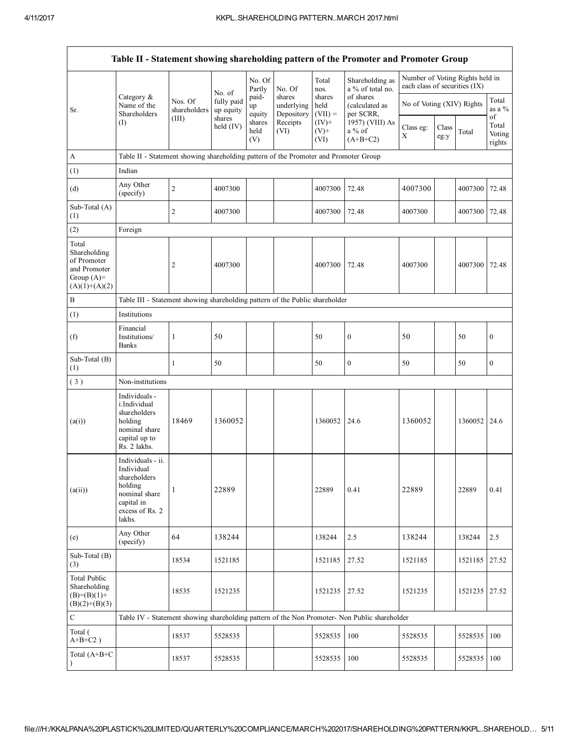|                                                                                         |                                                                                                                        |                         |                         |                       |                                    |                                               | Table II - Statement showing shareholding pattern of the Promoter and Promoter Group          |                                                                  |               |         |                           |
|-----------------------------------------------------------------------------------------|------------------------------------------------------------------------------------------------------------------------|-------------------------|-------------------------|-----------------------|------------------------------------|-----------------------------------------------|-----------------------------------------------------------------------------------------------|------------------------------------------------------------------|---------------|---------|---------------------------|
|                                                                                         |                                                                                                                        |                         | No. of                  | No. Of<br>Partly      | No. Of                             | Total<br>nos.                                 | Shareholding as<br>a % of total no.                                                           | Number of Voting Rights held in<br>each class of securities (IX) |               |         |                           |
| Sr.                                                                                     | Category &<br>Name of the<br>Shareholders                                                                              | Nos. Of<br>shareholders | fully paid<br>up equity | paid-<br>up<br>equity | shares<br>underlying<br>Depository | of shares<br>shares<br>held<br>(calculated as | No of Voting (XIV) Rights<br>$(VII) =$<br>per SCRR,                                           |                                                                  |               |         | Total<br>as a %<br>of     |
|                                                                                         | (I)                                                                                                                    | (III)                   | shares<br>held (IV)     | shares<br>held<br>(V) | Receipts<br>(VI)                   | $(IV)+$<br>$(V)^+$<br>(VI)                    | 1957) (VIII) As<br>$a\%$ of<br>$(A+B+C2)$                                                     | Class eg:<br>X                                                   | Class<br>eg:y | Total   | Total<br>Voting<br>rights |
| A                                                                                       | Table II - Statement showing shareholding pattern of the Promoter and Promoter Group                                   |                         |                         |                       |                                    |                                               |                                                                                               |                                                                  |               |         |                           |
| (1)                                                                                     | Indian                                                                                                                 |                         |                         |                       |                                    |                                               |                                                                                               |                                                                  |               |         |                           |
| (d)                                                                                     | Any Other<br>(specify)                                                                                                 | $\sqrt{2}$              | 4007300                 |                       |                                    | 4007300                                       | 72.48                                                                                         | 4007300                                                          |               | 4007300 | 72.48                     |
| Sub-Total (A)<br>(1)                                                                    |                                                                                                                        | $\overline{2}$          | 4007300                 |                       |                                    | 4007300                                       | 72.48                                                                                         | 4007300                                                          |               | 4007300 | 72.48                     |
| (2)                                                                                     | Foreign                                                                                                                |                         |                         |                       |                                    |                                               |                                                                                               |                                                                  |               |         |                           |
| Total<br>Shareholding<br>of Promoter<br>and Promoter<br>Group $(A)=$<br>$(A)(1)+(A)(2)$ |                                                                                                                        | $\overline{2}$          | 4007300                 |                       |                                    | 4007300                                       | 72.48                                                                                         | 4007300                                                          |               | 4007300 | 72.48                     |
| B                                                                                       | Table III - Statement showing shareholding pattern of the Public shareholder                                           |                         |                         |                       |                                    |                                               |                                                                                               |                                                                  |               |         |                           |
| (1)                                                                                     | Institutions                                                                                                           |                         |                         |                       |                                    |                                               |                                                                                               |                                                                  |               |         |                           |
| (f)                                                                                     | Financial<br>Institutions/<br><b>Banks</b>                                                                             | $\mathbf{1}$            | 50                      |                       |                                    | 50                                            | $\boldsymbol{0}$                                                                              | 50                                                               |               | 50      | $\boldsymbol{0}$          |
| Sub-Total (B)<br>(1)                                                                    |                                                                                                                        | $\mathbf{1}$            | 50                      |                       |                                    | 50                                            | $\boldsymbol{0}$                                                                              | 50                                                               |               | 50      | $\boldsymbol{0}$          |
| (3)                                                                                     | Non-institutions                                                                                                       |                         |                         |                       |                                    |                                               |                                                                                               |                                                                  |               |         |                           |
| (a(i))                                                                                  | Individuals -<br>i.Individual<br>shareholders<br>holding<br>nominal share<br>capital up to<br>Rs. 2 lakhs.             | 18469                   | 1360052                 |                       |                                    | 1360052                                       | 24.6                                                                                          | 1360052                                                          |               | 1360052 | 24.6                      |
| (a(ii))                                                                                 | Individuals - ii.<br>Individual<br>shareholders<br>holding<br>nominal share<br>capital in<br>excess of Rs. 2<br>lakhs. | 1                       | 22889                   |                       |                                    | 22889                                         | 0.41                                                                                          | 22889                                                            |               | 22889   | 0.41                      |
| (e)                                                                                     | Any Other<br>(specify)                                                                                                 | 64                      | 138244                  |                       |                                    | 138244                                        | 2.5                                                                                           | 138244                                                           |               | 138244  | 2.5                       |
| Sub-Total (B)<br>(3)                                                                    |                                                                                                                        | 18534                   | 1521185                 |                       |                                    | 1521185                                       | 27.52                                                                                         | 1521185                                                          |               | 1521185 | 27.52                     |
| <b>Total Public</b><br>Shareholding<br>$(B)=(B)(1)+$<br>$(B)(2)+(B)(3)$                 |                                                                                                                        | 18535                   | 1521235                 |                       |                                    | 1521235                                       | 27.52                                                                                         | 1521235                                                          |               | 1521235 | 27.52                     |
| $\mathbf C$                                                                             |                                                                                                                        |                         |                         |                       |                                    |                                               | Table IV - Statement showing shareholding pattern of the Non Promoter- Non Public shareholder |                                                                  |               |         |                           |
| Total (<br>$A+B+C2$ )                                                                   |                                                                                                                        | 18537                   | 5528535                 |                       |                                    | 5528535                                       | 100                                                                                           | 5528535                                                          |               | 5528535 | 100                       |
| Total (A+B+C                                                                            |                                                                                                                        | 18537                   | 5528535                 |                       |                                    | 5528535                                       | 100                                                                                           | 5528535                                                          |               | 5528535 | 100                       |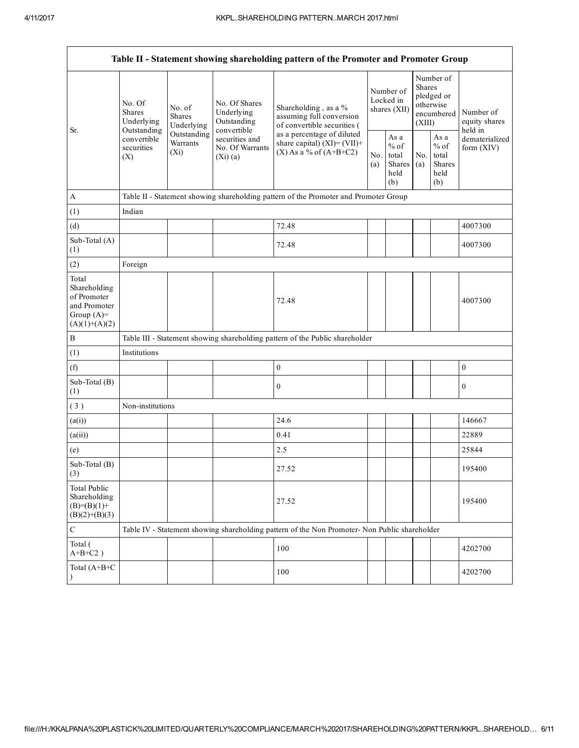|                                                                                         | Table II - Statement showing shareholding pattern of the Promoter and Promoter Group |                                    |                                                             |                                                                                               |                                        |                                                  |                                                                        |                                                  |                                       |
|-----------------------------------------------------------------------------------------|--------------------------------------------------------------------------------------|------------------------------------|-------------------------------------------------------------|-----------------------------------------------------------------------------------------------|----------------------------------------|--------------------------------------------------|------------------------------------------------------------------------|--------------------------------------------------|---------------------------------------|
|                                                                                         | No. Of<br>No. of<br>Shares<br>Shares<br>Underlying                                   | Underlying                         | No. Of Shares<br>Underlying<br>Outstanding                  | Shareholding, as a %<br>assuming full conversion<br>of convertible securities (               | Number of<br>Locked in<br>shares (XII) |                                                  | Number of<br>Shares<br>pledged or<br>otherwise<br>encumbered<br>(XIII) |                                                  | Number of<br>equity shares<br>held in |
| Sr.                                                                                     | Outstanding<br>convertible<br>securities<br>(X)                                      | Outstanding<br>Warrants<br>$(X_i)$ | convertible<br>securities and<br>No. Of Warrants<br>(Xi)(a) | as a percentage of diluted<br>share capital) $(XI)=(VII)+$<br>$(X)$ As a % of $(A+B+C2)$      |                                        | As a<br>$%$ of<br>total<br>Shares<br>held<br>(b) | No.<br>(a)                                                             | As a<br>$%$ of<br>total<br>Shares<br>held<br>(b) | dematerialized<br>form (XIV)          |
| $\mathbf{A}$                                                                            |                                                                                      |                                    |                                                             | Table II - Statement showing shareholding pattern of the Promoter and Promoter Group          |                                        |                                                  |                                                                        |                                                  |                                       |
| (1)                                                                                     | Indian                                                                               |                                    |                                                             |                                                                                               |                                        |                                                  |                                                                        |                                                  |                                       |
| (d)                                                                                     |                                                                                      |                                    |                                                             | 72.48                                                                                         |                                        |                                                  |                                                                        |                                                  | 4007300                               |
| Sub-Total (A)<br>(1)                                                                    |                                                                                      |                                    |                                                             | 72.48                                                                                         |                                        |                                                  |                                                                        |                                                  | 4007300                               |
| (2)                                                                                     | Foreign                                                                              |                                    |                                                             |                                                                                               |                                        |                                                  |                                                                        |                                                  |                                       |
| Total<br>Shareholding<br>of Promoter<br>and Promoter<br>Group $(A)=$<br>$(A)(1)+(A)(2)$ |                                                                                      |                                    |                                                             | 72.48                                                                                         |                                        |                                                  |                                                                        |                                                  | 4007300                               |
| B                                                                                       |                                                                                      |                                    |                                                             | Table III - Statement showing shareholding pattern of the Public shareholder                  |                                        |                                                  |                                                                        |                                                  |                                       |
| (1)                                                                                     | Institutions                                                                         |                                    |                                                             |                                                                                               |                                        |                                                  |                                                                        |                                                  |                                       |
| (f)                                                                                     |                                                                                      |                                    |                                                             | $\boldsymbol{0}$                                                                              |                                        |                                                  |                                                                        |                                                  | $\mathbf{0}$                          |
| Sub-Total (B)<br>(1)                                                                    |                                                                                      |                                    |                                                             | $\boldsymbol{0}$                                                                              |                                        |                                                  |                                                                        |                                                  | $\boldsymbol{0}$                      |
| (3)                                                                                     | Non-institutions                                                                     |                                    |                                                             |                                                                                               |                                        |                                                  |                                                                        |                                                  |                                       |
| (a(i))                                                                                  |                                                                                      |                                    |                                                             | 24.6                                                                                          |                                        |                                                  |                                                                        |                                                  | 146667                                |
| (a(ii))                                                                                 |                                                                                      |                                    |                                                             | 0.41                                                                                          |                                        |                                                  |                                                                        |                                                  | 22889                                 |
| (e)                                                                                     |                                                                                      |                                    |                                                             | 2.5                                                                                           |                                        |                                                  |                                                                        |                                                  | 25844                                 |
| Sub-Total (B)<br>$\left(3\right)$                                                       |                                                                                      |                                    |                                                             | 27.52                                                                                         |                                        |                                                  |                                                                        |                                                  | 195400                                |
| <b>Total Public</b><br>Shareholding<br>$(B)= (B)(1) +$<br>$(B)(2)+(B)(3)$               |                                                                                      |                                    |                                                             | 27.52                                                                                         |                                        |                                                  |                                                                        |                                                  | 195400                                |
| ${\bf C}$                                                                               |                                                                                      |                                    |                                                             | Table IV - Statement showing shareholding pattern of the Non Promoter- Non Public shareholder |                                        |                                                  |                                                                        |                                                  |                                       |
| Total (<br>$A+B+C2$ )                                                                   |                                                                                      |                                    |                                                             | 100                                                                                           |                                        |                                                  |                                                                        |                                                  | 4202700                               |
| Total (A+B+C                                                                            |                                                                                      |                                    |                                                             | 100                                                                                           |                                        |                                                  |                                                                        |                                                  | 4202700                               |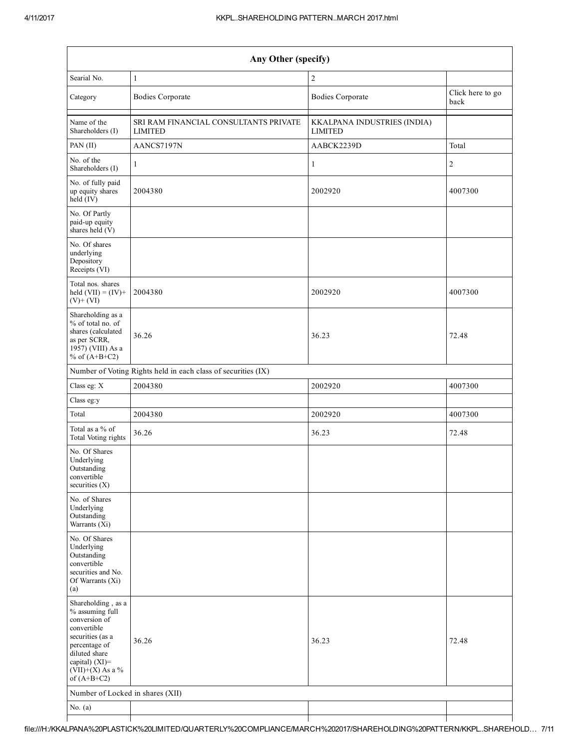|                                                                                                                                                                                      | Any Other (specify)                                           |                                               |                          |  |  |  |  |  |  |
|--------------------------------------------------------------------------------------------------------------------------------------------------------------------------------------|---------------------------------------------------------------|-----------------------------------------------|--------------------------|--|--|--|--|--|--|
| Searial No.                                                                                                                                                                          | $\overline{2}$<br>$\mathbf{1}$                                |                                               |                          |  |  |  |  |  |  |
| Category                                                                                                                                                                             | <b>Bodies Corporate</b>                                       | <b>Bodies Corporate</b>                       | Click here to go<br>back |  |  |  |  |  |  |
| Name of the<br>Shareholders (I)                                                                                                                                                      | SRI RAM FINANCIAL CONSULTANTS PRIVATE<br><b>LIMITED</b>       | KKALPANA INDUSTRIES (INDIA)<br><b>LIMITED</b> |                          |  |  |  |  |  |  |
| PAN (II)                                                                                                                                                                             | AANCS7197N                                                    | AABCK2239D                                    | Total                    |  |  |  |  |  |  |
| No. of the<br>Shareholders (I)                                                                                                                                                       | $\mathbf{1}$                                                  | $\mathbf{1}$                                  | 2                        |  |  |  |  |  |  |
| No. of fully paid<br>up equity shares<br>held (IV)                                                                                                                                   | 2004380                                                       | 2002920                                       | 4007300                  |  |  |  |  |  |  |
| No. Of Partly<br>paid-up equity<br>shares held (V)                                                                                                                                   |                                                               |                                               |                          |  |  |  |  |  |  |
| No. Of shares<br>underlying<br>Depository<br>Receipts (VI)                                                                                                                           |                                                               |                                               |                          |  |  |  |  |  |  |
| Total nos. shares<br>held $(VII) = (IV) +$<br>$(V)$ + $(VI)$                                                                                                                         | 2004380                                                       | 2002920                                       | 4007300                  |  |  |  |  |  |  |
| Shareholding as a<br>% of total no. of<br>shares (calculated<br>as per SCRR,<br>1957) (VIII) As a<br>% of $(A+B+C2)$                                                                 | 36.26                                                         | 36.23                                         | 72.48                    |  |  |  |  |  |  |
|                                                                                                                                                                                      | Number of Voting Rights held in each class of securities (IX) |                                               |                          |  |  |  |  |  |  |
| Class eg: X                                                                                                                                                                          | 2004380                                                       | 2002920                                       | 4007300                  |  |  |  |  |  |  |
| Class eg:y                                                                                                                                                                           |                                                               |                                               |                          |  |  |  |  |  |  |
| Total                                                                                                                                                                                | 2004380                                                       | 2002920                                       | 4007300                  |  |  |  |  |  |  |
| Total as a % of<br>Total Voting rights                                                                                                                                               | 36.26                                                         | 36.23                                         | 72.48                    |  |  |  |  |  |  |
| No. Of Shares<br>Underlying<br>Outstanding<br>convertible<br>securities $(X)$                                                                                                        |                                                               |                                               |                          |  |  |  |  |  |  |
| No. of Shares<br>Underlying<br>Outstanding<br>Warrants (Xi)                                                                                                                          |                                                               |                                               |                          |  |  |  |  |  |  |
| No. Of Shares<br>Underlying<br>Outstanding<br>convertible<br>securities and No.<br>Of Warrants (Xi)<br>(a)                                                                           |                                                               |                                               |                          |  |  |  |  |  |  |
| Shareholding, as a<br>% assuming full<br>conversion of<br>convertible<br>securities (as a<br>percentage of<br>diluted share<br>capital) (XI)=<br>$(VII)+(X)$ As a %<br>of $(A+B+C2)$ | 36.26                                                         | 36.23                                         | 72.48                    |  |  |  |  |  |  |
| Number of Locked in shares (XII)                                                                                                                                                     |                                                               |                                               |                          |  |  |  |  |  |  |
| No. $(a)$                                                                                                                                                                            |                                                               |                                               |                          |  |  |  |  |  |  |
|                                                                                                                                                                                      |                                                               |                                               |                          |  |  |  |  |  |  |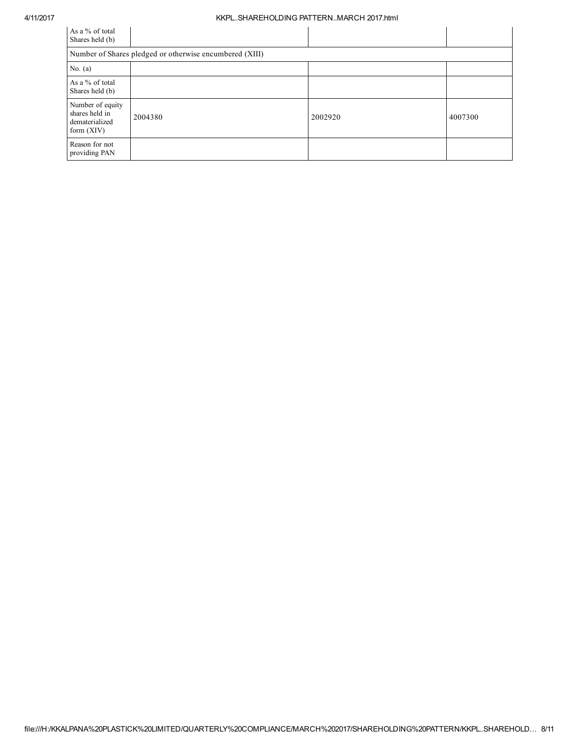## 4/11/2017 KKPL..SHAREHOLDING PATTERN..MARCH 2017.html

| As a % of total<br>Shares held (b)                                   |                                                         |         |         |  |  |  |  |  |
|----------------------------------------------------------------------|---------------------------------------------------------|---------|---------|--|--|--|--|--|
|                                                                      | Number of Shares pledged or otherwise encumbered (XIII) |         |         |  |  |  |  |  |
| No. $(a)$                                                            |                                                         |         |         |  |  |  |  |  |
| As a % of total<br>Shares held (b)                                   |                                                         |         |         |  |  |  |  |  |
| Number of equity<br>shares held in<br>dematerialized<br>form $(XIV)$ | 2004380                                                 | 2002920 | 4007300 |  |  |  |  |  |
| Reason for not<br>providing PAN                                      |                                                         |         |         |  |  |  |  |  |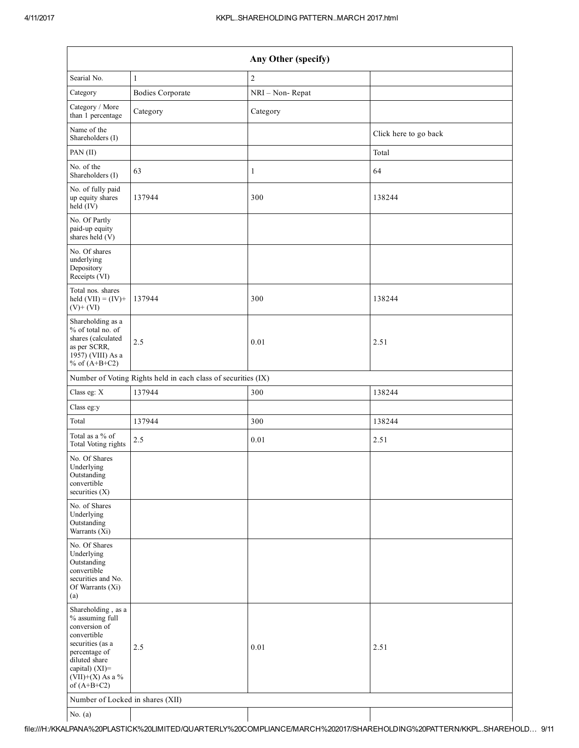|                                                                                                                                                                                      |                                                               | Any Other (specify) |                       |
|--------------------------------------------------------------------------------------------------------------------------------------------------------------------------------------|---------------------------------------------------------------|---------------------|-----------------------|
| Searial No.                                                                                                                                                                          | $\mathbf{1}$                                                  | $\overline{c}$      |                       |
| Category                                                                                                                                                                             | <b>Bodies Corporate</b>                                       | NRI - Non-Repat     |                       |
| Category / More<br>than 1 percentage                                                                                                                                                 | Category                                                      | Category            |                       |
| Name of the<br>Shareholders (I)                                                                                                                                                      |                                                               |                     | Click here to go back |
| PAN (II)                                                                                                                                                                             |                                                               |                     | Total                 |
| No. of the<br>Shareholders (I)                                                                                                                                                       | 63                                                            | $\mathbf{1}$        | 64                    |
| No. of fully paid<br>up equity shares<br>held (IV)                                                                                                                                   | 137944                                                        | 300                 | 138244                |
| No. Of Partly<br>paid-up equity<br>shares held (V)                                                                                                                                   |                                                               |                     |                       |
| No. Of shares<br>underlying<br>Depository<br>Receipts (VI)                                                                                                                           |                                                               |                     |                       |
| Total nos. shares<br>held $(VII) = (IV) +$<br>$(V)$ + $(VI)$                                                                                                                         | 137944                                                        | 300                 | 138244                |
| Shareholding as a<br>% of total no. of<br>shares (calculated<br>as per SCRR,<br>1957) (VIII) As a<br>% of $(A+B+C2)$                                                                 | 2.5                                                           | 0.01                | 2.51                  |
|                                                                                                                                                                                      | Number of Voting Rights held in each class of securities (IX) |                     |                       |
| Class eg: X                                                                                                                                                                          | 137944                                                        | 300                 | 138244                |
| Class eg:y                                                                                                                                                                           |                                                               |                     |                       |
| Total                                                                                                                                                                                | 137944                                                        | 300                 | 138244                |
| Total as a % of<br>Total Voting rights                                                                                                                                               | 2.5                                                           | 0.01                | 2.51                  |
| No. Of Shares<br>Underlying<br>Outstanding<br>convertible<br>securities (X)                                                                                                          |                                                               |                     |                       |
| No. of Shares<br>Underlying<br>Outstanding<br>Warrants (Xi)                                                                                                                          |                                                               |                     |                       |
| No. Of Shares<br>Underlying<br>Outstanding<br>convertible<br>securities and No.<br>Of Warrants (Xi)<br>(a)                                                                           |                                                               |                     |                       |
| Shareholding, as a<br>% assuming full<br>conversion of<br>convertible<br>securities (as a<br>percentage of<br>diluted share<br>capital) (XI)=<br>$(VII)+(X)$ As a %<br>of $(A+B+C2)$ | 2.5                                                           | 0.01                | 2.51                  |
| Number of Locked in shares (XII)                                                                                                                                                     |                                                               |                     |                       |
| No. $(a)$                                                                                                                                                                            |                                                               |                     |                       |